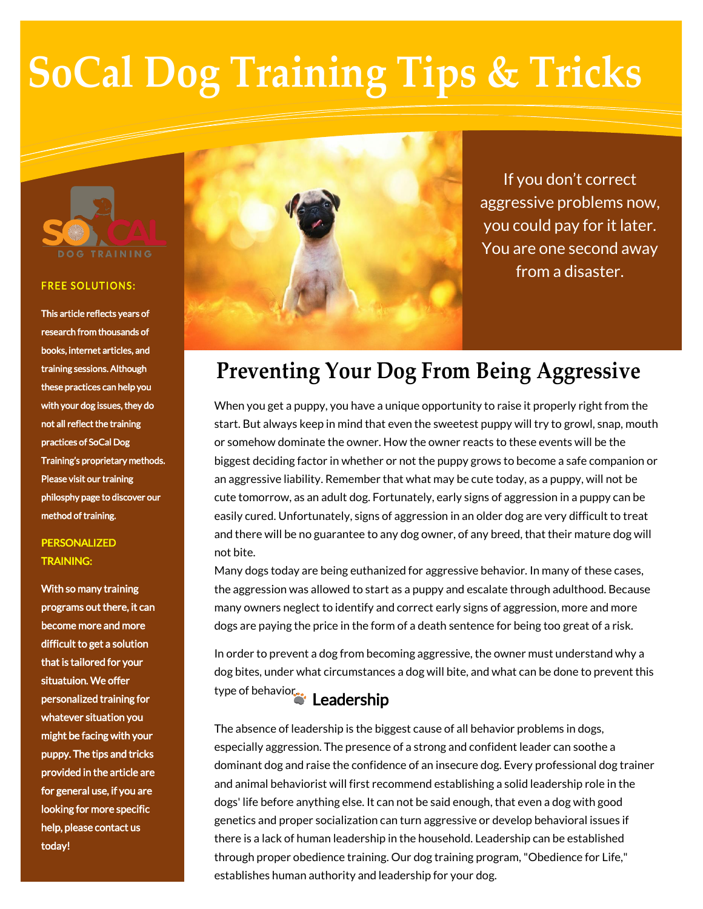

#### **FREE SOLUTIONS:**

This article reflects years of research from thousands of books, internet articles, and training sessions. Although these practices can help you with your dog issues, they do not all reflect the training practices of SoCal Dog Training's proprietary methods. Please visit our training philosphy page to discover our method of training.

### **PERSONALIZED** TRAINING:

With so many training programs out there, it can become more and more difficult to get a solution that is tailored for your situatuion. We offer personalized training for whatever situation you might be facing with your puppy. The tips and tricks provided in the article are for general use, if you are looking for more specific help, please contact us today!



If you don't correct aggressive problems now, you could pay for it later. You are one second away from a disaster.

# **Preventing Your Dog From Being Aggressive**

When you get a puppy, you have a unique opportunity to raise it properly right from the start. But always keep in mind that even the sweetest puppy will try to growl, snap, mouth or somehow dominate the owner. How the owner reacts to these events will be the biggest deciding factor in whether or not the puppy grows to become a safe companion or an aggressive liability. Remember that what may be cute today, as a puppy, will not be cute tomorrow, as an adult dog. Fortunately, early signs of aggression in a puppy can be easily cured. Unfortunately, signs of aggression in an older dog are very difficult to treat and there will be no guarantee to any dog owner, of any breed, that their mature dog will not bite.

Many dogs today are being euthanized for aggressive behavior. In many of these cases, the aggression was allowed to start as a puppy and escalate through adulthood. Because many owners neglect to identify and correct early signs of aggression, more and more dogs are paying the price in the form of a death sentence for being too great of a risk.

In order to prevent a dog from becoming aggressive, the owner must understand why a dog bites, under what circumstances a dog will bite, and what can be done to prevent this type of behavior. Leadership

The absence of leadership is the biggest cause of all behavior problems in dogs, especially aggression. The presence of a strong and confident leader can soothe a dominant dog and raise the confidence of an insecure dog. Every professional dog trainer and animal behaviorist will first recommend establishing a solid leadership role in the dogs' life before anything else. It can not be said enough, that even a dog with good genetics and proper socialization can turn aggressive or develop behavioral issues if there is a lack of human leadership in the household. Leadership can be established through proper obedience training. Our dog training program, "Obedience for Life," establishes human authority and leadership for your dog.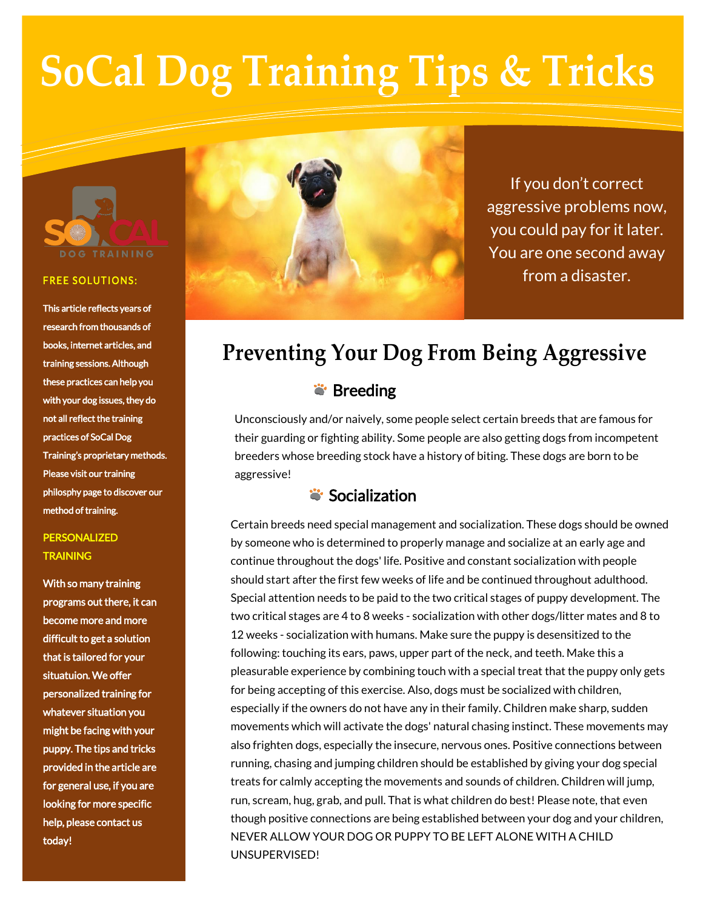

#### **FREE SOLUTIONS:**

This article reflects years of research from thousands of books, internet articles, and training sessions. Although these practices can help you with your dog issues, they do not all reflect the training practices of SoCal Dog Training's proprietary methods. Please visit our training philosphy page to discover our method of training.

### PERSONALIZED **TRAINING**

With so many training programs out there, it can become more and more difficult to get a solution that is tailored for your situatuion. We offer personalized training for whatever situation you might be facing with your puppy. The tips and tricks provided in the article are for general use, if you are looking for more specific help, please contact us today!



If you don't correct aggressive problems now, you could pay for it later. You are one second away from a disaster.

# **Preventing Your Dog From Being Aggressive**

## **S** Breeding

Unconsciously and/or naively, some people select certain breeds that are famous for their guarding or fighting ability. Some people are also getting dogs from incompetent breeders whose breeding stock have a history of biting. These dogs are born to be aggressive!

## Socialization

Certain breeds need special management and socialization. These dogs should be owned by someone who is determined to properly manage and socialize at an early age and continue throughout the dogs' life. Positive and constant socialization with people should start after the first few weeks of life and be continued throughout adulthood. Special attention needs to be paid to the two critical stages of puppy development. The two critical stages are 4 to 8 weeks - socialization with other dogs/litter mates and 8 to 12 weeks - socialization with humans. Make sure the puppy is desensitized to the following: touching its ears, paws, upper part of the neck, and teeth. Make this a pleasurable experience by combining touch with a special treat that the puppy only gets for being accepting of this exercise. Also, dogs must be socialized with children, especially if the owners do not have any in their family. Children make sharp, sudden movements which will activate the dogs' natural chasing instinct. These movements may also frighten dogs, especially the insecure, nervous ones. Positive connections between running, chasing and jumping children should be established by giving your dog special treats for calmly accepting the movements and sounds of children. Children will jump, run, scream, hug, grab, and pull. That is what children do best! Please note, that even though positive connections are being established between your dog and your children, NEVER ALLOW YOUR DOG OR PUPPY TO BE LEFT ALONE WITH A CHILD UNSUPERVISED!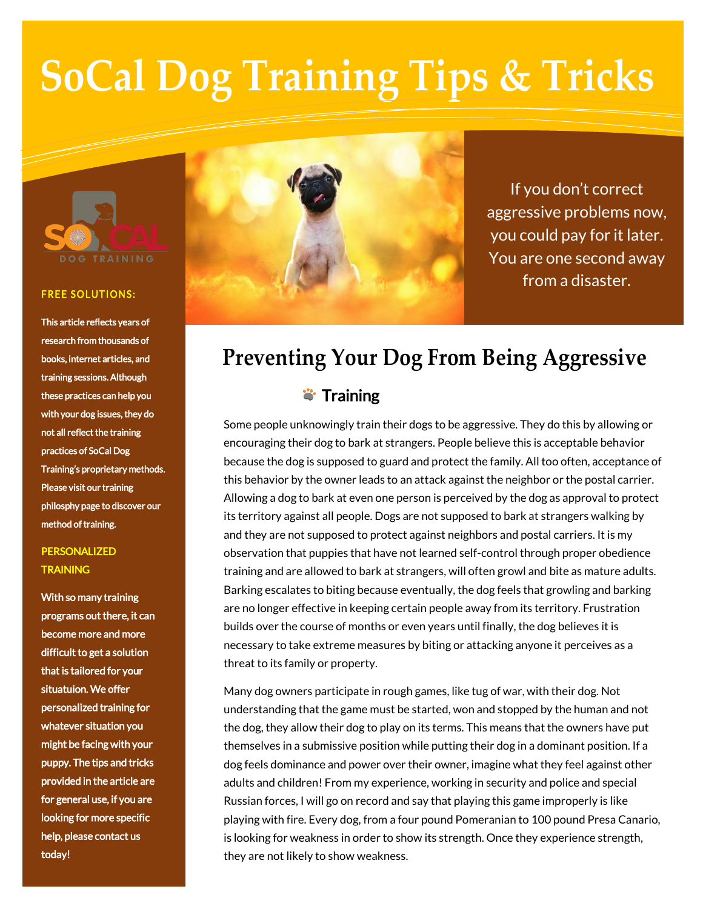

#### **FREE SOLUTIONS:**

This article reflects years of research from thousands of books, internet articles, and training sessions. Although these practices can help you with your dog issues, they do not all reflect the training practices of SoCal Dog Training's proprietary methods. Please visit our training philosphy page to discover our method of training.

### PERSONALIZED **TRAINING**

With so many training programs out there, it can become more and more difficult to get a solution that is tailored for your situatuion. We offer personalized training for whatever situation you might be facing with your puppy. The tips and tricks provided in the article are for general use, if you are looking for more specific help, please contact us today!



If you don't correct aggressive problems now, you could pay for it later. You are one second away from a disaster.

# **Preventing Your Dog From Being Aggressive**

## **\*\*** Training

Some people unknowingly train their dogs to be aggressive. They do this by allowing or encouraging their dog to bark at strangers. People believe this is acceptable behavior because the dog is supposed to guard and protect the family. All too often, acceptance of this behavior by the owner leads to an attack against the neighbor or the postal carrier. Allowing a dog to bark at even one person is perceived by the dog as approval to protect its territory against all people. Dogs are not supposed to bark at strangers walking by and they are not supposed to protect against neighbors and postal carriers. It is my observation that puppies that have not learned self-control through proper obedience training and are allowed to bark at strangers, will often growl and bite as mature adults. Barking escalates to biting because eventually, the dog feels that growling and barking are no longer effective in keeping certain people away from its territory. Frustration builds over the course of months or even years until finally, the dog believes it is necessary to take extreme measures by biting or attacking anyone it perceives as a threat to its family or property.

Many dog owners participate in rough games, like tug of war, with their dog. Not understanding that the game must be started, won and stopped by the human and not the dog, they allow their dog to play on its terms. This means that the owners have put themselves in a submissive position while putting their dog in a dominant position. If a dog feels dominance and power over their owner, imagine what they feel against other adults and children! From my experience, working in security and police and special Russian forces, I will go on record and say that playing this game improperly is like playing with fire. Every dog, from a four pound Pomeranian to 100 pound Presa Canario, is looking for weakness in order to show its strength. Once they experience strength, they are not likely to show weakness.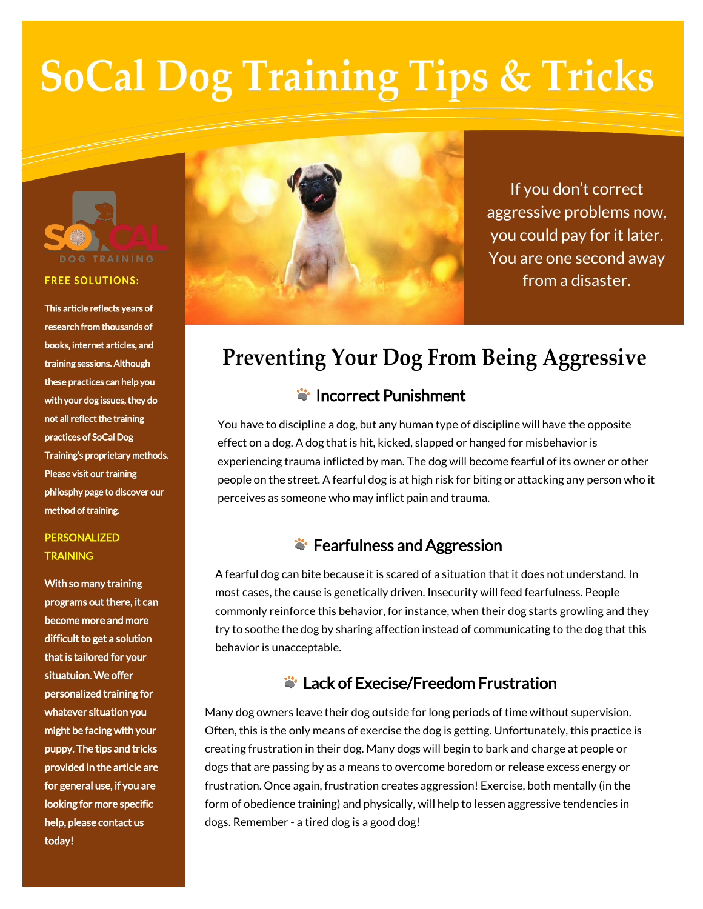

#### **FREE SOLUTIONS:**

This article reflects years of research from thousands of books, internet articles, and training sessions. Although these practices can help you with your dog issues, they do not all reflect the training practices of SoCal Dog Training's proprietary methods. Please visit our training philosphy page to discover our method of training.

### PERSONALIZED **TRAINING**

With so many training programs out there, it can become more and more difficult to get a solution that is tailored for your situatuion. We offer personalized training for whatever situation you might be facing with your puppy. The tips and tricks provided in the article are for general use, if you are looking for more specific help, please contact us today!



If you don't correct aggressive problems now, you could pay for it later. You are one second away from a disaster.

# **Preventing Your Dog From Being Aggressive**

## **i** Incorrect Punishment

You have to discipline a dog, but any human type of discipline will have the opposite effect on a dog. A dog that is hit, kicked, slapped or hanged for misbehavior is experiencing trauma inflicted by man. The dog will become fearful of its owner or other people on the street. A fearful dog is at high risk for biting or attacking any person who it perceives as someone who may inflict pain and trauma.

## **S**: Fearfulness and Aggression

A fearful dog can bite because it is scared of a situation that it does not understand. In most cases, the cause is genetically driven. Insecurity will feed fearfulness. People commonly reinforce this behavior, for instance, when their dog starts growling and they try to soothe the dog by sharing affection instead of communicating to the dog that this behavior is unacceptable.

## Lack of Execise/Freedom Frustration

Many dog owners leave their dog outside for long periods of time without supervision. Often, this is the only means of exercise the dog is getting. Unfortunately, this practice is creating frustration in their dog. Many dogs will begin to bark and charge at people or dogs that are passing by as a means to overcome boredom or release excess energy or frustration. Once again, frustration creates aggression! Exercise, both mentally (in the form of obedience training) and physically, will help to lessen aggressive tendencies in dogs. Remember - a tired dog is a good dog!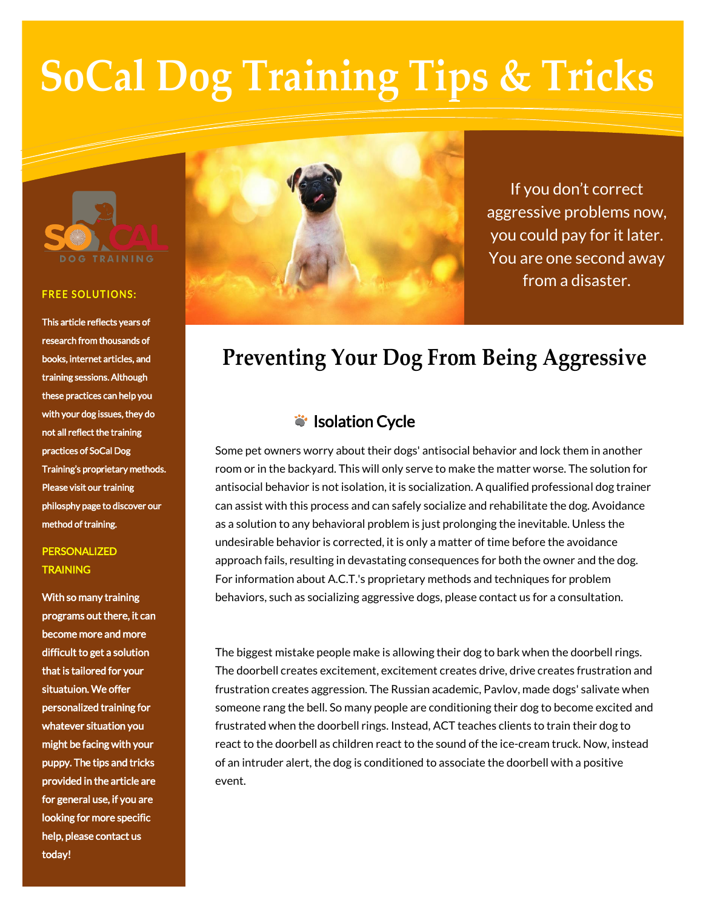

#### **FREE SOLUTIONS:**

This article reflects years of research from thousands of books, internet articles, and training sessions. Although these practices can help you with your dog issues, they do not all reflect the training practices of SoCal Dog Training's proprietary methods. Please visit our training philosphy page to discover our method of training.

### PERSONALIZED **TRAINING**

With so many training programs out there, it can become more and more difficult to get a solution that is tailored for your situatuion. We offer personalized training for whatever situation you might be facing with your puppy. The tips and tricks provided in the article are for general use, if you are looking for more specific help, please contact us today!



If you don't correct aggressive problems now, you could pay for it later. You are one second away from a disaster.

# **Preventing Your Dog From Being Aggressive**

## ivil Isolation Cycle

Some pet owners worry about their dogs' antisocial behavior and lock them in another room or in the backyard. This will only serve to make the matter worse. The solution for antisocial behavior is not isolation, it is socialization. A qualified professional dog trainer can assist with this process and can safely socialize and rehabilitate the dog. Avoidance as a solution to any behavioral problem is just prolonging the inevitable. Unless the undesirable behavior is corrected, it is only a matter of time before the avoidance approach fails, resulting in devastating consequences for both the owner and the dog. For information about A.C.T.'s proprietary methods and techniques for problem behaviors, such as socializing aggressive dogs, please contact us for a consultation.

The biggest mistake people make is allowing their dog to bark when the doorbell rings. The doorbell creates excitement, excitement creates drive, drive creates frustration and frustration creates aggression. The Russian academic, Pavlov, made dogs' salivate when someone rang the bell. So many people are conditioning their dog to become excited and frustrated when the doorbell rings. Instead, ACT teaches clients to train their dog to react to the doorbell as children react to the sound of the ice-cream truck. Now, instead of an intruder alert, the dog is conditioned to associate the doorbell with a positive event.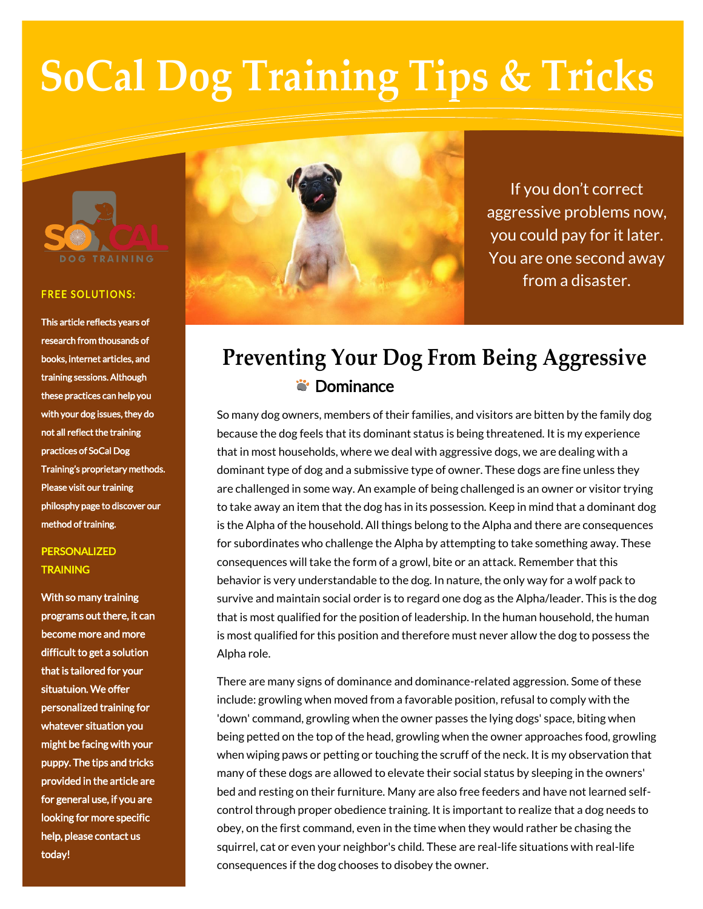

#### **FREE SOLUTIONS:**

This article reflects years of research from thousands of books, internet articles, and training sessions. Although these practices can help you with your dog issues, they do not all reflect the training practices of SoCal Dog Training's proprietary methods. Please visit our training philosphy page to discover our method of training.

### PERSONALIZED **TRAINING**

With so many training programs out there, it can become more and more difficult to get a solution that is tailored for your situatuion. We offer personalized training for whatever situation you might be facing with your puppy. The tips and tricks provided in the article are for general use, if you are looking for more specific help, please contact us today!



If you don't correct aggressive problems now, you could pay for it later. You are one second away from a disaster.

# **Preventing Your Dog From Being Aggressive S**: Dominance

So many dog owners, members of their families, and visitors are bitten by the family dog because the dog feels that its dominant status is being threatened. It is my experience that in most households, where we deal with aggressive dogs, we are dealing with a dominant type of dog and a submissive type of owner. These dogs are fine unless they are challenged in some way. An example of being challenged is an owner or visitor trying to take away an item that the dog has in its possession. Keep in mind that a dominant dog is the Alpha of the household. All things belong to the Alpha and there are consequences for subordinates who challenge the Alpha by attempting to take something away. These consequences will take the form of a growl, bite or an attack. Remember that this behavior is very understandable to the dog. In nature, the only way for a wolf pack to survive and maintain social order is to regard one dog as the Alpha/leader. This is the dog that is most qualified for the position of leadership. In the human household, the human is most qualified for this position and therefore must never allow the dog to possess the Alpha role.

There are many signs of dominance and dominance-related aggression. Some of these include: growling when moved from a favorable position, refusal to comply with the 'down' command, growling when the owner passes the lying dogs' space, biting when being petted on the top of the head, growling when the owner approaches food, growling when wiping paws or petting or touching the scruff of the neck. It is my observation that many of these dogs are allowed to elevate their social status by sleeping in the owners' bed and resting on their furniture. Many are also free feeders and have not learned selfcontrol through proper obedience training. It is important to realize that a dog needs to obey, on the first command, even in the time when they would rather be chasing the squirrel, cat or even your neighbor's child. These are real-life situations with real-life consequences if the dog chooses to disobey the owner.